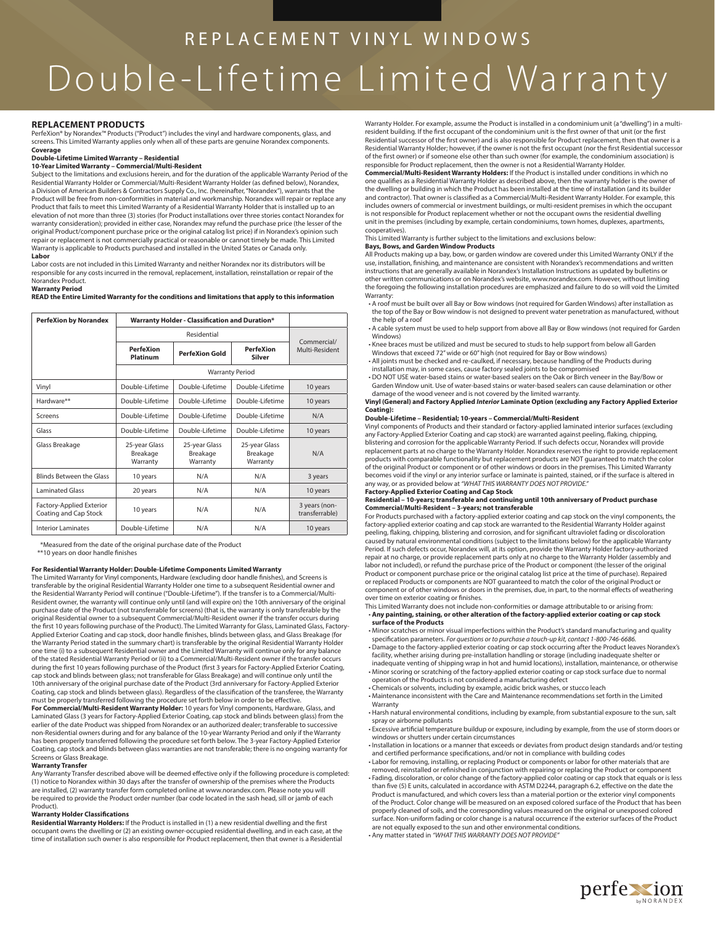# REPLACEMENT VINYL WINDOWS Double-Lifetime Limited Warranty

#### **REPLACEMENT PRODUCTS**

PerfeXion® by Norandex™ Products ("Product") includes the vinyl and hardware components, glass, and screens. This Limited Warranty applies only when all of these parts are genuine Norandex components.

# **Coverage Double-Lifetime Limited Warranty – Residential**

#### **10-Year Limited Warranty – Commercial/Multi-Resident**

Subject to the limitations and exclusions herein, and for the duration of the applicable Warranty Period of the Residential Warranty Holder or Commercial/Multi-Resident Warranty Holder (as defi ned below), Norandex, a Division of American Builders & Contractors Supply Co., Inc. (hereinafter, "Norandex"), warrants that the Product will be free from non-conformities in material and workmanship. Norandex will repair or replace any Product that fails to meet this Limited Warranty of a Residential Warranty Holder that is installed up to an elevation of not more than three (3) stories (for Product installations over three stories contact Norandex for warranty consideration); provided in either case, Norandex may refund the purchase price (the lesser of the original Product/component purchase price or the original catalog list price) if in Norandex's opinion such repair or replacement is not commercially practical or reasonable or cannot timely be made. This Limited Warranty is applicable to Products purchased and installed in the United States or Canada only. **Labor**

Labor costs are not included in this Limited Warranty and neither Norandex nor its distributors will be responsible for any costs incurred in the removal, replacement, installation, reinstallation or repair of the Norandex Product. **Warranty Period**

**READ the Entire Limited Warranty for the conditions and limitations that apply to this information**

| <b>PerfeXion by Norandex</b>                      | <b>Warranty Holder - Classification and Duration*</b> |                                       |                                       |                                 |
|---------------------------------------------------|-------------------------------------------------------|---------------------------------------|---------------------------------------|---------------------------------|
|                                                   |                                                       | Commercial/                           |                                       |                                 |
|                                                   | <b>PerfeXion</b><br>Platinum                          | PerfeXion Gold                        | <b>PerfeXion</b><br>Silver            | Multi-Resident                  |
|                                                   |                                                       |                                       |                                       |                                 |
| Vinyl                                             | Double-Lifetime                                       | Double-Lifetime                       | Double-Lifetime                       | 10 years                        |
| Hardware**                                        | Double-Lifetime                                       | Double-Lifetime                       | Double-Lifetime                       | 10 years                        |
| Screens                                           | Double-Lifetime                                       | Double-Lifetime                       | Double-Lifetime                       | N/A                             |
| Glass                                             | Double-Lifetime                                       | Double-Lifetime                       | Double-Lifetime                       | 10 years                        |
| Glass Breakage                                    | 25-year Glass<br>Breakage<br>Warranty                 | 25-year Glass<br>Breakage<br>Warranty | 25-year Glass<br>Breakage<br>Warranty | N/A                             |
| Blinds Between the Glass                          | 10 years                                              | N/A                                   | N/A                                   | 3 years                         |
| <b>Laminated Glass</b>                            | 20 years                                              | N/A                                   | N/A                                   | 10 years                        |
| Factory-Applied Exterior<br>Coating and Cap Stock | 10 years                                              | N/A                                   | N/A                                   | 3 years (non-<br>transferrable) |
| <b>Interior Laminates</b>                         | Double-Lifetime                                       | N/A                                   | N/A                                   | 10 years                        |

 \*Measured from the date of the original purchase date of the Product \*\*10 years on door handle finishes

**For Residential Warranty Holder: Double-Lifetime Components Limited Warranty**<br>The Limited Warranty for Vinyl components, Hardware (excluding door handle finishes), and Screens is transferable by the original Residential Warranty Holder one time to a subsequent Residential owner and the Residential Warranty Period will continue ("Double-Lifetime"). If the transfer is to a Commercial/Multi-Resident owner, the warranty will continue only until (and will expire on) the 10th anniversary of the original purchase date of the Product (not transferrable for screens) (that is, the warranty is only transferable by the original Residential owner to a subsequent Commercial/Multi-Resident owner if the transfer occurs during<br>the first 10 years following purchase of the Product). The Limited Warranty for Glass, Laminated Glass, Factory-Applied Exterior Coating and cap stock, door handle finishes, blinds between glass, and Glass Breakage (for the Warranty Period stated in the summary chart) is transferable by the original Residential Warranty Holder<br>one time (i) to a subsequent Residential owner and the Limited Warranty will continue only for any balance of the stated Residential Warranty Period or (ii) to a Commercial/Multi-Resident owner if the transfer occurs during the first 10 years following purchase of the Product (first 3 years for Factory-Applied Exterior Coating,<br>cap stock and blinds between glass; not transferable for Glass Breakage) and will continue only until the 10th anniversary of the original purchase date of the Product (3rd anniversary for Factory-Applied Exterior Coating, cap stock and blinds between glass). Regardless of the classification of the transferee, the Warranty<br>must be properly transferred following the procedure set forth below in order to be effective. **For Commercial/Multi-Resident Warranty Holder:** 10 years for Vinyl components, Hardware, Glass, and Laminated Glass (3 years for Factory-Applied Exterior Coating, cap stock and blinds between glass) from the earlier of the date Product was shipped from Norandex or an authorized dealer; transferable to successive non-Residential owners during and for any balance of the 10-year Warranty Period and only if the Warranty has been properly transferred following the procedure set forth below. The 3-year Factory-Applied Exterior Coating, cap stock and blinds between glass warranties are not transferable; there is no ongoing warranty for Screens or Glass Breakage.

#### **Warranty Transfer**

Any Warranty Transfer described above will be deemed effective only if the following procedure is completed: (1) notice to Norandex within 30 days after the transfer of ownership of the premises where the Products are installed, (2) warranty transfer form completed online at www.norandex.com. Please note you will be required to provide the Product order number (bar code located in the sash head, sill or jamb of each Product).

#### **Warranty Holder Classifications**

**Residential Warranty Holders:** If the Product is installed in (1) a new residential dwelling and the first occupant owns the dwelling or (2) an existing owner-occupied residential dwelling, and in each case, at the time of installation such owner is also responsible for Product replacement, then that owner is a Residential Warranty Holder. For example, assume the Product is installed in a condominium unit (a "dwelling") in a multiresident building. If the first occupant of the condominium unit is the first owner of that unit (or the first Residential successor of the first owner) and is also responsible for Product replacement, then that owner is a Residential Warranty Holder; however, if the owner is not the first occupant (nor the first Residential successor of the first owner) or if someone else other than such owner (for example, the condominium association) is responsible for Product replacement, then the owner is not a Residential Warranty Holder.

**Commercial/Multi-Resident Warranty Holders:** If the Product is installed under conditions in which no one qualifies as a Residential Warranty Holder as described above, then the warranty holder is the owner of the dwelling or building in which the Product has been installed at the time of installation (and its builder and contractor). That owner is classified as a Commercial/Multi-Resident Warranty Holder. For example, this includes owners of commercial or investment buildings, or multi-resident premises in which the occupant is not responsible for Product replacement whether or not the occupant owns the residential dwelling unit in the premises (including by example, certain condominiums, town homes, duplexes, apartments, cooperatives).

#### This Limited Warranty is further subject to the limitations and exclusions below:

**Bays, Bows, and Garden Window Products** 

All Products making up a bay, bow, or garden window are covered under this Limited Warranty ONLY if the use, installation, finishing, and maintenance are consistent with Norandex's recommendations and written instructions that are generally available in Norandex's Installation Instructions as updated by bulletins or other written communications or on Norandex's website, www.norandex.com. However, without limiting the foregoing the following installation procedures are emphasized and failure to do so will void the Limited

Warranty: • A roof must be built over all Bay or Bow windows (not required for Garden Windows) after installation as the top of the Bay or Bow window is not designed to prevent water penetration as manufactured, without the help of a roof

 • A cable system must be used to help support from above all Bay or Bow windows (not required for Garden Windows)

 • Knee braces must be utilized and must be secured to studs to help support from below all Garden Windows that exceed 72" wide or 60" high (not required for Bay or Bow windows) • All joints must be checked and re-caulked, if necessary, because handling of the Products during

installation may, in some cases, cause factory sealed joints to be compromised

 • DO NOT USE water-based stains or water-based sealers on the Oak or Birch veneer in the Bay/Bow or Garden Window unit. Use of water-based stains or water-based sealers can cause delamination or other damage of the wood veneer and is not covered by the limited warranty.

**Vinyl (General) and Factory Applied Interior Laminate Option (excluding any Factory Applied Exterior Coating):** 

#### **Double-Lifetime – Residential; 10-years – Commercial/Multi-Resident**

Vinyl components of Products and their standard or factory-applied laminated interior surfaces (excluding any Factory-Applied Exterior Coating and cap stock) are warranted against peeling, fl aking, chipping, blistering and corrosion for the applicable Warranty Period. If such defects occur, Norandex will provide replacement parts at no charge to the Warranty Holder. Norandex reserves the right to provide replacement products with comparable functionality but replacement products are NOT guaranteed to match the color of the original Product or component or of other windows or doors in the premises. This Limited Warranty becomes void if the vinyl or any interior surface or laminate is painted, stained, or if the surface is altered in any way, or as provided below at *"WHAT THIS WARRANTY DOES NOT PROVIDE."* 

### **Factory-Applied Exterior Coating and Cap Stock**

**Residential – 10-years; transferable and continuing until 10th anniversary of Product purchase**

**Commercial/Multi-Resident – 3-years; not transferable** For Products purchased with a factory-applied exterior coating and cap stock on the vinyl components, the factory-applied exterior coating and cap stock are warranted to the Residential Warranty Holder against peeling, flaking, chipping, blistering and corrosion, and for significant ultraviolet fading or discoloration<br>caused by natural environmental conditions (subject to the limitations below) for the applicable Warranty Period. If such defects occur, Norandex will, at its option, provide the Warranty Holder factory-authorized repair at no charge, or provide replacement parts only at no charge to the Warranty Holder (assembly and labor not included), or refund the purchase price of the Product or component (the lesser of the original Product or component purchase price or the original catalog list price at the time of purchase). Repaired or replaced Products or components are NOT guaranteed to match the color of the original Product or component or of other windows or doors in the premises, due, in part, to the normal eff ects of weathering over time on exterior coating or finishes.

## This Limited Warranty does not include non-conformities or damage attributable to or arising from: • **Any painting, staining, or other alteration of the factory-applied exterior coating or cap stock surface of the Products**

- Minor scratches or minor visual imperfections within the Product's standard manufacturing and quality specifi cation parameters. *For questions or to purchase a touch-up kit, contact 1-800-746-6686.*
- Damage to the factory-applied exterior coating or cap stock occurring after the Product leaves Norandex's facility, whether arising during pre-installation handling or storage (including inadequate shelter or inadequate venting of shipping wrap in hot and humid locations), installation, maintenance, or otherwise • Minor scoring or scratching of the factory-applied exterior coating or cap stock surface due to normal
- operation of the Products is not considered a manufacturing defect • Chemicals or solvents, including by example, acidic brick washes, or stucco leach
- Maintenance inconsistent with the Care and Maintenance recommendations set forth in the Limited

Warranty

 • Harsh natural environmental conditions, including by example, from substantial exposure to the sun, salt spray or airborne pollutants

• Excessive artificial temperature buildup or exposure, including by example, from the use of storm doors or windows or shutters under certain circumstances

 • Installation in locations or a manner that exceeds or deviates from product design standards and/or testing and certified performance specifications, and/or not in compliance with building codes<br>• Labor for removing, installing, or replacing Product or components or labor for other materials that are

removed, reinstalled or refinished in conjunction with repairing or replacing the Product or component • Fading, discoloration, or color change of the factory-applied color coating or cap stock that equals or is less<br>than five (5) E units, calculated in accordance with ASTM D2244, paragraph 6.2, effective on the date the Product is manufactured, and which covers less than a material portion or the exterior vinyl components of the Product. Color change will be measured on an exposed colored surface of the Product that has been properly cleaned of soils, and the corresponding values measured on the original or unexposed colored surface. Non-uniform fading or color change is a natural occurrence if the exterior surfaces of the Product are not equally exposed to the sun and other environmental conditions. • Any matter stated in *"WHAT THIS WARRANTY DOES NOT PROVIDE"* 

perfextion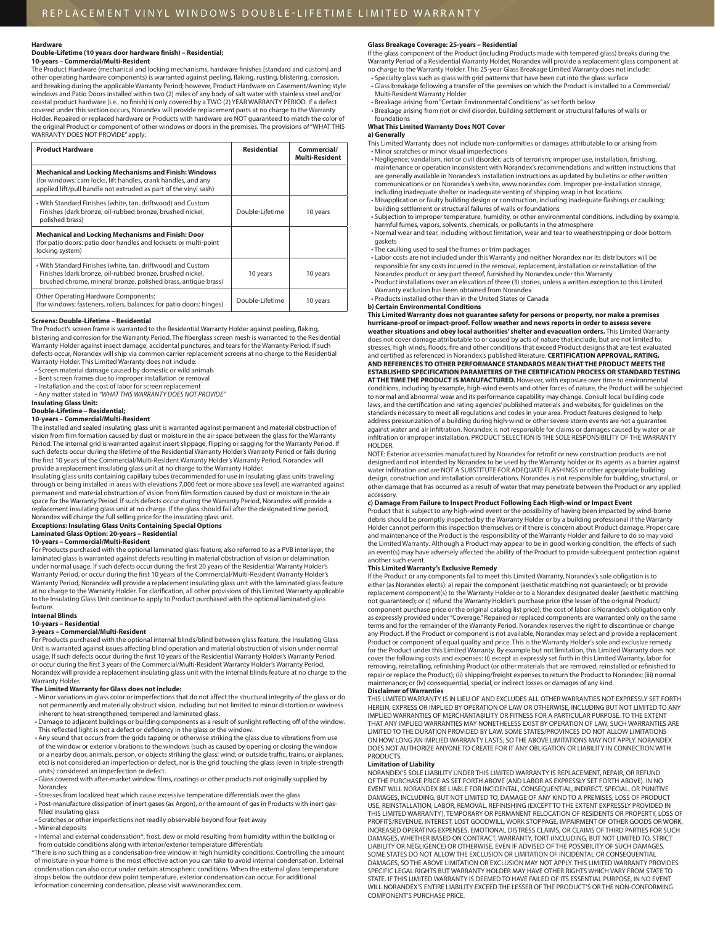#### **Hardware**

#### **Double-Lifetime (10 years door hardware fi nish) – Residential; 10-years – Commercial/Multi-Resident**

The Product Hardware (mechanical and locking mechanisms, hardware finishes [standard and custom] and other operating hardware components) is warranted against peeling, fl aking, rusting, blistering, corrosion, and breaking during the applicable Warranty Period; however, Product Hardware on Casement/Awning style windows and Patio Doors installed within two (2) miles of any body of salt water with stainless steel and/or<br>coastal product hardware (i.e., no finish) is only covered by a TWO (2) YEAR WARRANTY PERIOD. If a defect covered under this section occurs, Norandex will provide replacement parts at no charge to the Warranty Holder. Repaired or replaced hardware or Products with hardware are NOT guaranteed to match the color of the original Product or component of other windows or doors in the premises. The provisions of "WHAT THIS WARRANTY DOES NOT PROVIDE" apply:

| <b>Product Hardware</b>                                                                                                                                                                           | <b>Residential</b> | Commercial/<br><b>Multi-Resident</b> |
|---------------------------------------------------------------------------------------------------------------------------------------------------------------------------------------------------|--------------------|--------------------------------------|
| <b>Mechanical and Locking Mechanisms and Finish: Windows</b><br>(for windows: cam locks, lift handles, crank handles, and any<br>applied lift/pull handle not extruded as part of the vinyl sash) |                    |                                      |
| • With Standard Finishes (white, tan, driftwood) and Custom<br>Finishes (dark bronze, oil-rubbed bronze, brushed nickel,<br>polished brass)                                                       | Double-Lifetime    | 10 years                             |
| Mechanical and Locking Mechanisms and Finish: Door<br>(for patio doors: patio door handles and locksets or multi-point<br>locking system)                                                         |                    |                                      |
| • With Standard Finishes (white, tan, driftwood) and Custom<br>Finishes (dark bronze, oil-rubbed bronze, brushed nickel,<br>brushed chrome, mineral bronze, polished brass, antique brass)        | 10 years           | 10 years                             |
| <b>Other Operating Hardware Components:</b><br>(for windows: fasteners, rollers, balances; for patio doors: hinges)                                                                               | Double-Lifetime    | 10 years                             |

#### **Screens: Double-Lifetime – Residential**

The Product's screen frame is warranted to the Residential Warranty Holder against peeling, flaking, blistering and corrosion for the Warranty Period. The fiberglass screen mesh is warranted to the Residential Warranty Holder against insect damage, accidental punctures, and tears for the Warranty Period. If such defects occur, Norandex will ship via common carrier replacement screens at no charge to the Residential Warranty Holder. This Limited Warranty does not include:

• Screen material damage caused by domestic or wild animals

• Bent screen frames due to improper installation or removal

- Installation and the cost of labor for screen replacement
- Any matter stated in *"WHAT THIS WARRANTY DOES NOT PROVIDE"*

## **Insulating Glass Unit: Double-Lifetime – Residential;**

## **10-years – Commercial/Multi-Resident**

The installed and sealed insulating glass unit is warranted against permanent and material obstruction of<br>vision from film formation caused by dust or moisture in the air space between the glass for the Warranty Period. The internal grid is warranted against insert slippage, flipping or sagging for the Warranty Period. If such defects occur during the lifetime of the Residential Warranty Holder's Warranty Period or fails during<br>the first 10 years of the Commercial/Multi-Resident Warranty Holder's Warranty Period, Norandex will provide a replacement insulating glass unit at no charge to the Warranty Holder.

Insulating glass units containing capillary tubes (recommended for use in insulating glass units traveling through or being installed in areas with elevations 7,000 feet or more above sea level) are warranted against permanent and material obstruction of vision from film formation caused by dust or moisture in the air space for the Warranty Period. If such defects occur during the Warranty Period, Norandex will provide a replacement insulating glass unit at no charge. If the glass should fail after the designated time period, Norandex will charge the full selling price for the insulating glass unit.

# **Exceptions: Insulating Glass Units Containing Special Options Laminated Glass Option: 20-years – Residential**

## **10-years – Commercial/Multi-Resident**

For Products purchased with the optional laminated glass feature, also referred to as a PVB interlayer, the laminated glass is warranted against defects resulting in material obstruction of vision or delamination under normal usage. If such defects occur during the first 20 years of the Residential Warranty Holder's<br>Warranty Period, or occur during the first 10 years of the Commercial/Multi-Resident Warranty Holder's Warranty Period, Norandex will provide a replacement insulating glass unit with the laminated glass feature at no charge to the Warranty Holder. For clarification, all other provisions of this Limited Warranty applicable to the Insulating Glass Unit continue to apply to Product purchased with the optional laminated glass feature.

#### **Internal Blinds**

#### **10-years – Residential**

#### **3-years – Commercial/Multi-Resident**

For Products purchased with the optional internal blinds/blind between glass feature, the Insulating Glass Unit is warranted against issues aff ecting blind operation and material obstruction of vision under normal usage. If such defects occur during the first 10 years of the Residential Warranty Holder's Warranty Period,<br>or occur during the first 3 years of the Commercial/Multi-Resident Warranty Holder's Warranty Period, Norandex will provide a replacement insulating glass unit with the internal blinds feature at no charge to the Warranty Holder.

#### **The Limited Warranty for Glass does not include:**

- Minor variations in glass color or imperfections that do not affect the structural integrity of the glass or do not permanently and materially obstruct vision, including but not limited to minor distortion or waviness inherent to heat-strengthened, tempered and laminated glass.
- Damage to adjacent buildings or building components as a result of sunlight reflecting off of the window. This reflected light is not a defect or deficiency in the glass or the window.<br>• Any sound that occurs from the grids tapping or otherwise striking the glass due to vibrations from use
- of the window or exterior vibrations to the windows (such as caused by opening or closing the window or a nearby door, animals, person, or objects striking the glass; wind; or outside traffic, trains, or airplanes,<br>etc) is not considered an imperfection or defect, nor is the grid touching the glass (even in triple-strengt units) considered an imperfection or defect.
- Glass covered with after-market window films, coatings or other products not originally supplied by Norandex

• Stresses from localized heat which cause excessive temperature differentials over the glass • Post-manufacture dissipation of inert gases (as Argon), or the amount of gas in Products with inert gasfilled insulating glass

• Scratches or other imperfections not readily observable beyond four feet away

#### • Mineral deposits

- Internal and external condensation\*, frost, dew or mold resulting from humidity within the building or from outside conditions along with interior/exterior temperature differentials
- \* There is no such thing as a condensation-free window in high humidity conditions. Controlling the amount of moisture in your home is the most effective action you can take to avoid internal condensation. External condensation can also occur under certain atmospheric conditions. When the external glass temperature drops below the outdoor dew point temperature, exterior condensation can occur. For additional information concerning condensation, please visit www.norandex.com.

#### **Glass Breakage Coverage: 25-years – Residential**

If the glass component of the Product (including Products made with tempered glass) breaks during the Warranty Period of a Residential Warranty Holder, Norandex will provide a replacement glass component at no charge to the Warranty Holder. This 25-year Glass Breakage Limited Warranty does not include:

- Specialty glass such as glass with grid patterns that have been cut into the glass surface • Glass breakage following a transfer of the premises on which the Product is installed to a Commercial/ Multi-Resident Warranty Holder
- Breakage arising from "Certain Environmental Conditions" as set forth below
- Breakage arising from riot or civil disorder, building settlement or structural failures of walls or

#### foundations **What This Limited Warranty Does NOT Cover**

**a) Generally** This Limited Warranty does not include non-conformities or damages attributable to or arising from • Minor scratches or minor visual imperfections

• Negligence; vandalism, riot or civil disorder; acts of terrorism; improper use, installation, finishing,<br>maintenance or operation inconsistent with Norandex's recommendations and written instructions that are generally available in Norandex's installation instructions as updated by bulletins or other written communications or on Norandex's website, www.norandex.com. Improper pre-installation storage,<br>including inadequate shelter or inadequate venting of shipping wrap in hot locations

• Misapplication or faulty building design or construction, including inadequate flashings or caulking; building settlement or structural failures of walls or foundations • Subjection to improper temperature, humidity, or other environmental conditions, including by example,

harmful fumes, vapors, solvents, chemicals, or pollutants in the atmosphere

- Normal wear and tear, including without limitation, wear and tear to weatherstripping or door bottom gaskets
- The caulking used to seal the frames or trim packages
- Labor costs are not included under this Warranty and neither Norandex nor its distributors will be responsible for any costs incurred in the removal, replacement, installation or reinstallation of the Norandex product or any part thereof, furnished by Norandex under this Warranty
- Product installations over an elevation of three (3) stories, unless a written exception to this Limited Warranty exclusion has been obtained from Norandex

• Products installed other than in the United States or Canada

#### **b) Certain Environmental Conditions**

**This Limited Warranty does not guarantee safety for persons or property, nor make a premises hurricane-proof or impact-proof. Follow weather and news reports in order to assess severe weather situations and obey local authorities' shelter and evacuation orders.** This Limited Warranty does not cover damage attributable to or caused by acts of nature that include, but are not limited to, stresses, high winds, floods, fire and other conditions that exceed Product designs that are test evaluated<br>and certified as referenced in Norandex's published literature. **CERTIFICATION APPROVAL, RATING, AND REFERENCES TO OTHER PERFORMANCE STANDARDS MEAN THAT THE PRODUCT MEETS THE ESTABLISHED SPECIFICATION PARAMETERS OF THE CERTIFICATION PROCESS OR STANDARD TESTING AT THE TIME THE PRODUCT IS MANUFACTURED.** However, with exposure over time to environmental conditions, including by example, high-wind events and other forces of nature, the Product will be subjected will to normal and abnormal wear and its performance capability may change. Consult local building code laws, and the certifi cation and rating agencies' published materials and websites, for guidelines on the standards necessary to meet all regulations and codes in your area. Product features designed to help address pressurization of a building during high-wind or other severe storm events are not a guarantee against water and air infi ltration. Norandex is not responsible for claims or damages caused by water or air infiltration or improper installation. PRODUCT SELECTION IS THE SOLE RESPONSIBILITY OF THE WARRANTY HOLDER.

NOTE: Exterior accessories manufactured by Norandex for retrofit or new construction products are not designed and not intended by Norandex to be used by the Warranty holder or its agents as a barrier against water infiltration and are NOT A SUBSTITUTE FOR ADEQUATE FLASHINGS or other appropriate building<br>design, construction and installation considerations. Norandex is not responsible for building, structural, or other damage that has occurred as a result of water that may penetrate between the Product or any applied accessory.

## **c) Damage From Failure to Inspect Product Following Each High-wind or Impact Event**

Product that is subject to any high-wind event or the possibility of having been impacted by wind-borne<br>debris should be promptly inspected by the Warranty Holder or by a building professional if the Warranty<br>Holder cannot and maintenance of the Product is the responsibility of the Warranty Holder and failure to do so may void the Limited Warranty. Although a Product may appear to be in good working condition, the effects of such<br>an event(s) may have adversely affected the ability of the Product to provide subsequent protection against another such event.

**This Limited Warranty's Exclusive Remedy** If the Product or any components fail to meet this Limited Warranty, Norandex's sole obligation is to either (as Norandex elects): a) repair the component (aesthetic matching not guaranteed); or b) provide<br>replacement component(s) to the Warranty Holder or to a Norandex designated dealer (aesthetic matching<br>not guaranteed) component purchase price or the original catalog list price); the cost of labor is Norandex's obligation only as expressly provided under "Coverage." Repaired or replaced components are warranted only on the same terms and for the remainder of the Warranty Period. Norandex reserves the right to discontinue or change any Product. If the Product or component is not available, Norandex may select and provide a replacement Product or component of equal quality and price. This is the Warranty Holder's sole and exclusive remedy for the Product under this Limited Warranty. By example but not limitation, this Limited Warranty does not cover the following costs and expenses: (i) except as expressly set forth in this Limited Warranty, labor for<br>removing, reinstalling, refinishing Product (or other materials that are removed, reinstalled or refinished to repair or replace the Product); (ii) shipping/freight expenses to return the Product to Norandex; (iii) normal maintenance; or (iv) consequential, special, or indirect losses or damages of any kind.

#### **Disclaimer of Warranties**

THIS LIMITED WARRANTY IS IN LIEU OF AND EXCLUDES ALL OTHER WARRANTIES NOT EXPRESSLY SET FORTH<br>HEREIN, EXPRESS OR IMPLIED BY OPERATION OF LAW OR OTHERWISE, INCLUDING BUT NOT LIMITED TO ANY IMPLIED WARRANTIES OF MERCHANTABILITY OR FITNESS FOR A PARTICULAR PURPOSE. TO THE EXTENT THAT ANY IMPLIED WARRANTIES MAY NONETHELESS EXIST BY OPERATION OF LAW, SUCH WARRANTIES ARE<br>LIMITED TO THE DURATION PROVIDED BY LAW. SOME STATES/PROVINCES DO NOT ALLOW LIMITATIONS ON HOW LONG AN IMPLIED WARRANTY LASTS, SO THE ABOVE LIMITATIONS MAY NOT APPLY. NORANDEX DOES NOT AUTHORIZE ANYONE TO CREATE FOR IT ANY OBLIGATION OR LIABILITY IN CONNECTION WITH **PRODUCTS** 

#### **Limitation of Liability**

NORANDEX'S SOLE LIABILITY UNDER THIS LIMITED WARRANTY IS REPLACEMENT, REPAIR, OR REFUND OF THE PURCHASE PRICE AS SET FORTH ABOVE (AND LABOR AS EXPRESSLY SET FORTH ABOVE). IN NO EVENT WILL NORANDEX BE LIABLE FOR INCIDENTAL, CONSEQUENTIAL, INDIRECT, SPECIAL, OR PUNITIVE DAMAGES, INCLUDING, BUT NOT LIMITED TO, DAMAGE OF ANY KIND TO A PREMISES, LOSS OF PRODUCT<br>USE, REINSTALLATION, LABOR, REMOVAL, REFINISHING (EXCEPT TO THE EXTENT EXPRESSLY PROVIDED IN THIS LIMITED WARRANTY), TEMPORARY OR PERMANENT RELOCATION OF RESIDENTS OR PROPERTY, LOSS OF PROFITS/REVENUE, INTEREST, LOST GOODWILL, WORK STOPPAGE, IMPAIRMENT OF OTHER GOODS OR WORK,<br>INCREASED OPERATING EXPENSES, EMOTIONAL DISTRESS CLAIMS, OR CLAIMS OF THIRD PARTIES FOR SUCH DAMAGES, WHETHER BASED ON CONTRACT, WARRANTY, TORT (INCLUDING, BUT NOT LIMITED TO, STRICT<br>LIABILITY OR NEGLIGENCE) OR OTHERWISE, EVEN IF ADVISED OF THE POSSIBILITY OF SUCH DAMAGES.<br>SOME STATES DO NOT ALLOW THE EXCLUSION OR DAMAGES, SO THE ABOVE LIMITATION OR EXCLUSION MAY NOT APPLY. THIS LIMITED WARRANTY PROVIDES<br>SPECIFIC LEGAL RIGHTS BUT WARRANTY HOLDER MAY HAVE OTHER RIGHTS WHICH VARY FROM STATE TO STATE. IF THIS LIMITED WARRANTY IS DEEMED TO HAVE FAILED OF ITS ESSENTIAL PURPOSE, IN NO EVENT WILL NORANDEX'S ENTIRE LIABILITY EXCEED THE LESSER OF THE PRODUCT'S OR THE NON-CONFORMING COMPONENT'S PURCHASE PRICE.